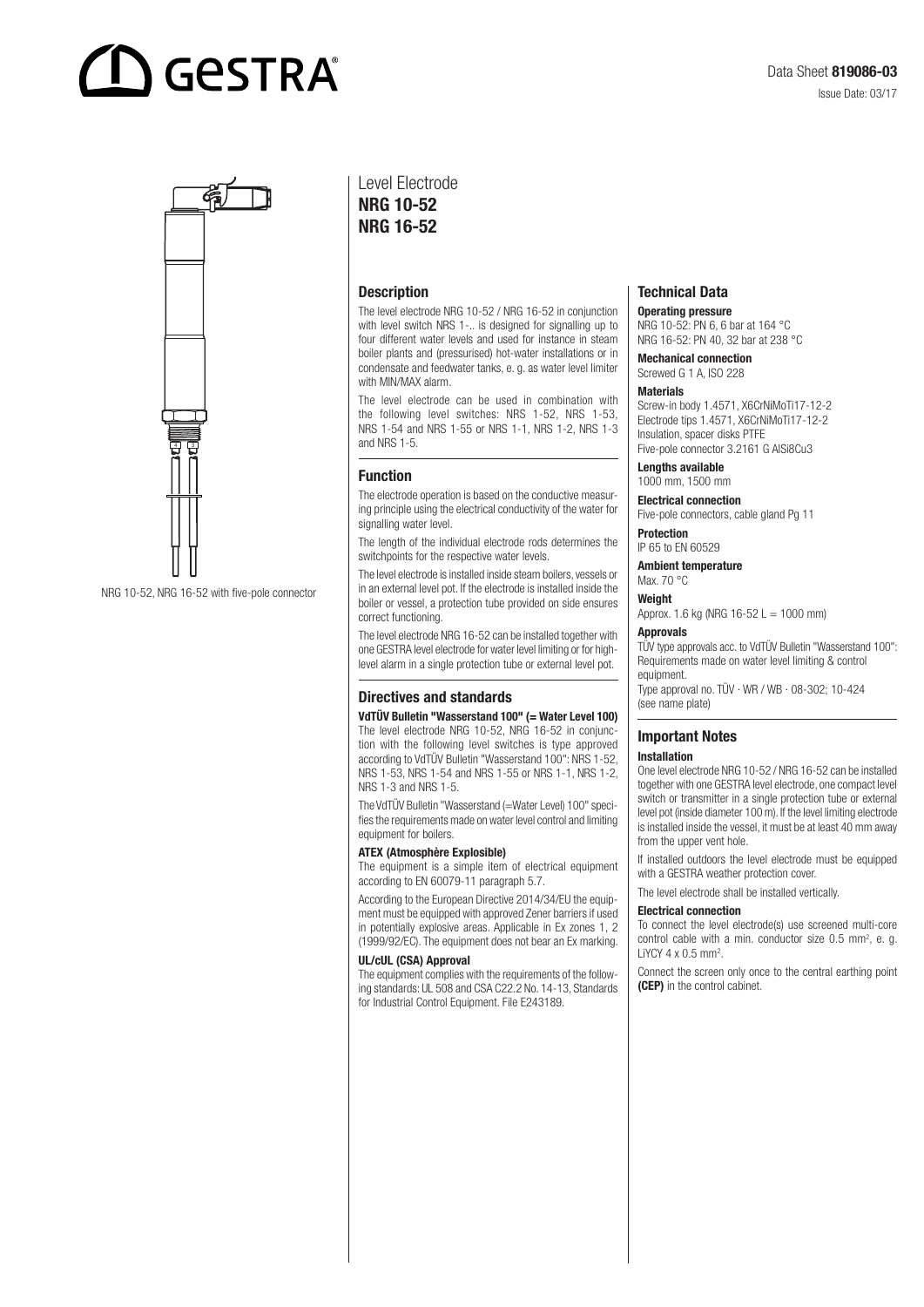# **GESTRA**



NRG 10-52, NRG 16-52 with five-pole connector

### Level Electrode NRG 10-52 NRG 16-52

#### **Description**

The level electrode NRG 10-52 / NRG 16-52 in conjunction with level switch NRS 1-.. is designed for signalling up to four different water levels and used for instance in steam boiler plants and (pressurised) hot-water installations or in condensate and feedwater tanks, e. g. as water level limiter with MIN/MAX alarm.

The level electrode can be used in combination with the following level switches: NRS 1-52, NRS 1-53, NRS 1-54 and NRS 1-55 or NRS 1-1, NRS 1-2, NRS 1-3 and NRS 1-5.

#### Function

The electrode operation is based on the conductive measuring principle using the electrical conductivity of the water for signalling water level.

The length of the individual electrode rods determines the switchpoints for the respective water levels.

The level electrode is installed inside steam boilers, vessels or in an external level pot. If the electrode is installed inside the boiler or vessel, a protection tube provided on side ensures correct functioning.

The level electrode NRG 16-52 can be installed together with one GESTRA level electrode for water level limiting or for highlevel alarm in a single protection tube or external level pot.

#### Directives and standards

VdTÜV Bulletin "Wasserstand 100" (= Water Level 100) The level electrode NRG 10-52, NRG 16-52 in conjunction with the following level switches is type approved according to VdTÜV Bulletin "Wasserstand 100": NRS 1-52, NRS 1-53, NRS 1-54 and NRS 1-55 or NRS 1-1, NRS 1-2, NRS 1-3 and NRS 1-5.

The VdTÜV Bulletin "Wasserstand (=Water Level) 100" specifies the requirements made on water level control and limiting equipment for boilers.

#### ATEX (Atmosphère Explosible)

The equipment is a simple item of electrical equipment according to EN 60079-11 paragraph 5.7.

According to the European Directive 2014/34/EU the equipment must be equipped with approved Zener barriers if used in potentially explosive areas. Applicable in Ex zones 1, 2 (1999/92/EC). The equipment does not bear an Ex marking.

#### UL/cUL (CSA) Approval

The equipment complies with the requirements of the following standards: UL 508 and CSA C22.2 No. 14-13, Standards for Industrial Control Equipment. File E243189.

### Technical Data

Operating pressure

NRG 10-52: PN 6, 6 bar at 164 °C NRG 16-52: PN 40, 32 bar at 238 °C

Mechanical connection Screwed G 1 A, ISO 228

#### Materials

Screw-in body 1.4571, X6CrNiMoTi17-12-2 Electrode tips 1.4571, X6CrNiMoTi17-12-2 Insulation, spacer disks PTFE Five-pole connector 3.2161 G AlSi8Cu3

Lengths available

1000 mm, 1500 mm

Electrical connection Five-pole connectors, cable gland Pg 11

Protection IP 65 to EN 60529

Ambient temperature

Max. 70 °C

Weight Approx. 1.6 kg (NRG  $16 - 52$  L = 1000 mm)

Approvals

TÜV type approvals acc. to VdTÜV Bulletin "Wasserstand 100": Requirements made on water level limiting & control equipment.

Type approval no. TÜV · WR / WB · 08-302; 10-424 (see name plate)

#### Important Notes Installation

One level electrode NRG 10-52 / NRG 16-52 can be installed together with one GESTRA level electrode, one compact level switch or transmitter in a single protection tube or external level pot (inside diameter 100 m). If the level limiting electrode is installed inside the vessel, it must be at least 40 mm away from the upper vent hole.

If installed outdoors the level electrode must be equipped with a GESTRA weather protection cover.

The level electrode shall be installed vertically.

#### Electrical connection

To connect the level electrode(s) use screened multi-core control cable with a min. conductor size 0.5 mm<sup>2</sup>, e. g. LiYCY  $4 \times 0.5$  mm<sup>2</sup>.

Connect the screen only once to the central earthing point (CEP) in the control cabinet.